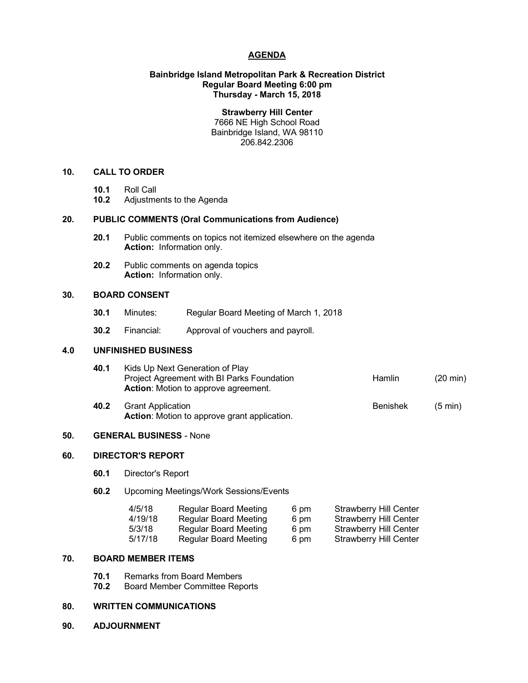### **AGENDA**

### **Bainbridge Island Metropolitan Park & Recreation District Regular Board Meeting 6:00 pm Thursday - March 15, 2018**

**Strawberry Hill Center** 7666 NE High School Road Bainbridge Island, WA 98110 206.842.2306

### **10. CALL TO ORDER**

- **10.1** Roll Call
- **10.2** Adjustments to the Agenda

### **20. PUBLIC COMMENTS (Oral Communications from Audience)**

- **20.1** Public comments on topics not itemized elsewhere on the agenda **Action:** Information only.
- **20.2** Public comments on agenda topics **Action:** Information only.

### **30. BOARD CONSENT**

- **30.1** Minutes: Regular Board Meeting of March 1, 2018
- **30.2** Financial: Approval of vouchers and payroll.

### **4.0 UNFINISHED BUSINESS**

| 40.1 | Kids Up Next Generation of Play             |               |                    |
|------|---------------------------------------------|---------------|--------------------|
|      | Project Agreement with BI Parks Foundation  | <b>Hamlin</b> | $(20 \text{ min})$ |
|      | <b>Action:</b> Motion to approve agreement. |               |                    |
|      |                                             |               |                    |

**40.2** Grant Application **Benishek** (5 min) **Action**: Motion to approve grant application.

## **50. GENERAL BUSINESS** - None

### **60. DIRECTOR'S REPORT**

- **60.1** Director's Report
- **60.2** Upcoming Meetings/Work Sessions/Events

| 4/5/18  | Regular Board Meeting        | 6 pm | <b>Strawberry Hill Center</b> |
|---------|------------------------------|------|-------------------------------|
| 4/19/18 | Regular Board Meeting        | 6 pm | <b>Strawberry Hill Center</b> |
| 5/3/18  | <b>Regular Board Meeting</b> | 6 pm | <b>Strawberry Hill Center</b> |
| 5/17/18 | Regular Board Meeting        | 6 pm | <b>Strawberry Hill Center</b> |
|         |                              |      |                               |

### **70. BOARD MEMBER ITEMS**

- **70.1** Remarks from Board Members
- **70.2** Board Member Committee Reports

#### **80. WRITTEN COMMUNICATIONS**

**90. ADJOURNMENT**